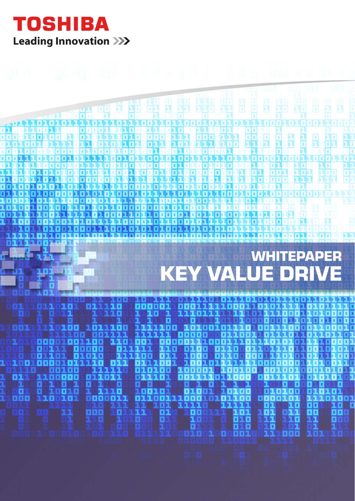

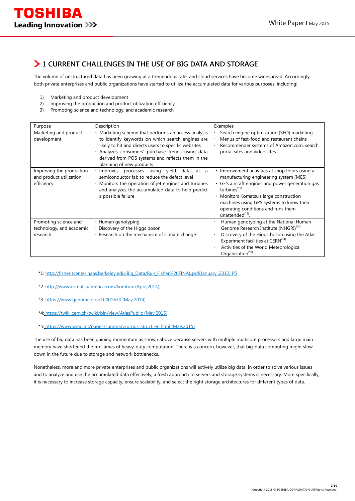### **1 CURRENT CHALLENGES IN THE USE OF BIG DATA AND STORAGE**

The volume of unstructured data has been growing at a tremendous rate, and cloud services have become widespread. Accordingly, both private enterprises and public organizations have started to utilize the accumulated data for various purposes, including:

- 1) Marketing and product development
- 2) Improving the production and product utilization efficiency
- 3) Promoting science and technology, and academic research

| Purpose                                                           | Description                                                                                                                                                                                                                                                                                        | Examples                                                                                                                                                                                                                                                                                                              |
|-------------------------------------------------------------------|----------------------------------------------------------------------------------------------------------------------------------------------------------------------------------------------------------------------------------------------------------------------------------------------------|-----------------------------------------------------------------------------------------------------------------------------------------------------------------------------------------------------------------------------------------------------------------------------------------------------------------------|
| Marketing and product<br>development                              | Marketing scheme that performs an access analysis<br>to identify keywords on which search engines are<br>likely to hit and directs users to specific websites<br>· Analyzes consumers' purchase trends using data<br>derived from POS systems and reflects them in the<br>planning of new products | Search engine optimization (SEO) marketing<br>Menus of fast-food and restaurant chains<br>Recommender systems of Amazon.com, search<br>portal sites and video sites                                                                                                                                                   |
| Improving the production<br>and product utilization<br>efficiency | · Improves processes using yield<br>data at a<br>semiconductor fab to reduce the defect level<br>· Monitors the operation of jet engines and turbines<br>and analyzes the accumulated data to help predict<br>a possible failure                                                                   | • Improvement activities at shop floors using a<br>manufacturing engineering system (MES)<br>· GE's aircraft engines and power generation gas<br>turbines $(1)$<br>• Monitors Komatsu's large construction<br>machines using GPS systems to know their<br>operating conditions and runs them<br>unattended $^{(*)}$ . |
| Promoting science and<br>technology, and academic<br>research     | · Human genotyping<br>• Discovery of the Higgs boson<br>. Research on the mechanism of climate change                                                                                                                                                                                              | Human genotyping at the National Human<br>Genome Research Institute (NHGRI) <sup>(*3)</sup><br>Discovery of the Higgs boson using the Atlas<br>Experiment facilities at CERN <sup>(*4)</sup><br>Activities of the World Meteorological<br>Organization <sup>(*5)</sup>                                                |

\*1: http://fisheritcenter.haas.berkeley.edu/Big\_Data/Ruh\_Fisher%20FINAL.pdf(January ,2012) P5

- \*2: http://www.komatsuamerica.com/komtrax (April,2014)
- \*3: https://www.genome.gov/10001634 (May,2014)
- \*4: https://twiki.cern.ch/twiki/bin/view/AtlasPublic (May,2015)
- \*5: https://www.wmo.int/pages/summary/progs\_struct\_en.html (May,2015)

The use of big data has been gaining momentum as shown above because servers with multiple multicore processors and large main memory have shortened the run-times of heavy-duty computation. There is a concern, however, that big-data computing might slow down in the future due to storage and network bottlenecks.

Nonetheless, more and more private enterprises and public organizations will actively utilize big data. In order to solve various issues and to analyze and use the accumulated data effectively, a fresh approach to servers and storage systems is necessary. More specifically, it is necessary to increase storage capacity, ensure scalability, and select the right storage architectures for different types of data.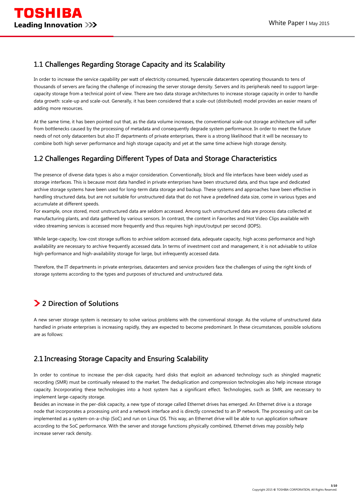## 1.1 Challenges Regarding Storage Capacity and its Scalability

In order to increase the service capability per watt of electricity consumed, hyperscale datacenters operating thousands to tens of thousands of servers are facing the challenge of increasing the server storage density. Servers and its peripherals need to support largecapacity storage from a technical point of view. There are two data storage architectures to increase storage capacity in order to handle data growth: scale-up and scale-out. Generally, it has been considered that a scale-out (distributed) model provides an easier means of adding more resources.

At the same time, it has been pointed out that, as the data volume increases, the conventional scale-out storage architecture will suffer from bottlenecks caused by the processing of metadata and consequently degrade system performance. In order to meet the future needs of not only datacenters but also IT departments of private enterprises, there is a strong likelihood that it will be necessary to combine both high server performance and high storage capacity and yet at the same time achieve high storage density.

## 1.2 Challenges Regarding Different Types of Data and Storage Characteristics

The presence of diverse data types is also a major consideration. Conventionally, block and file interfaces have been widely used as storage interfaces. This is because most data handled in private enterprises have been structured data, and thus tape and dedicated archive storage systems have been used for long-term data storage and backup. These systems and approaches have been effective in handling structured data, but are not suitable for unstructured data that do not have a predefined data size, come in various types and accumulate at different speeds.

For example, once stored, most unstructured data are seldom accessed. Among such unstructured data are process data collected at manufacturing plants, and data gathered by various sensors. In contrast, the content in Favorites and Hot Video Clips available with video streaming services is accessed more frequently and thus requires high input/output per second (IOPS).

While large-capacity, low-cost storage suffices to archive seldom accessed data, adequate capacity, high access performance and high availability are necessary to archive frequently accessed data. In terms of investment cost and management, it is not advisable to utilize high-performance and high-availability storage for large, but infrequently accessed data.

Therefore, the IT departments in private enterprises, datacenters and service providers face the challenges of using the right kinds of storage systems according to the types and purposes of structured and unstructured data.

# **2 Direction of Solutions**

A new server storage system is necessary to solve various problems with the conventional storage. As the volume of unstructured data handled in private enterprises is increasing rapidly, they are expected to become predominant. In these circumstances, possible solutions are as follows:

## 2.1 Increasing Storage Capacity and Ensuring Scalability

In order to continue to increase the per-disk capacity, hard disks that exploit an advanced technology such as shingled magnetic recording (SMR) must be continually released to the market. The deduplication and compression technologies also help increase storage capacity. Incorporating these technologies into a host system has a significant effect. Technologies, such as SMR, are necessary to implement large-capacity storage.

Besides an increase in the per-disk capacity, a new type of storage called Ethernet drives has emerged. An Ethernet drive is a storage node that incorporates a processing unit and a network interface and is directly connected to an IP network. The processing unit can be implemented as a system-on-a-chip (SoC) and run on Linux OS. This way, an Ethernet drive will be able to run application software according to the SoC performance. With the server and storage functions physically combined, Ethernet drives may possibly help increase server rack density.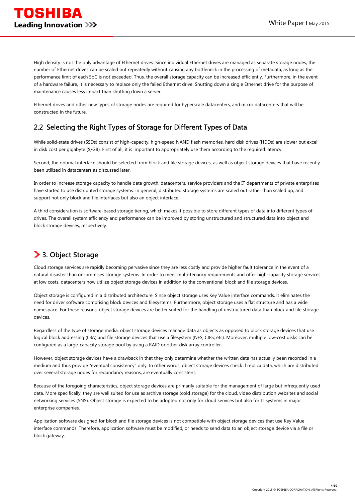High density is not the only advantage of Ethernet drives. Since individual Ethernet drives are managed as separate storage nodes, the number of Ethernet drives can be scaled out repeatedly without causing any bottleneck in the processing of metadata, as long as the performance limit of each SoC is not exceeded. Thus, the overall storage capacity can be increased efficiently. Furthermore, in the event of a hardware failure, it is necessary to replace only the failed Ethernet drive. Shutting down a single Ethernet drive for the purpose of maintenance causes less impact than shutting down a server.

Ethernet drives and other new types of storage nodes are required for hyperscale datacenters, and micro datacenters that will be constructed in the future.

## 2.2 Selecting the Right Types of Storage for Different Types of Data

While solid-state drives (SSDs) consist of high-capacity, high-speed NAND flash memories, hard disk drives (HDDs) are slower but excel in disk cost per gigabyte (\$/GB). First of all, it is important to appropriately use them according to the required latency.

Second, the optimal interface should be selected from block and file storage devices, as well as object storage devices that have recently been utilized in datacenters as discussed later.

In order to increase storage capacity to handle data growth, datacenters, service providers and the IT departments of private enterprises have started to use distributed storage systems. In general, distributed storage systems are scaled out rather than scaled up, and support not only block and file interfaces but also an object interface.

A third consideration is software-based storage tiering, which makes it possible to store different types of data into different types of drives. The overall system efficiency and performance can be improved by storing unstructured and structured data into object and block storage devices, respectively.

## **3. Object Storage**

Cloud storage services are rapidly becoming pervasive since they are less costly and provide higher fault tolerance in the event of a natural disaster than on-premises storage systems. In order to meet multi-tenancy requirements and offer high-capacity storage services at low costs, datacenters now utilize object storage devices in addition to the conventional block and file storage devices.

Object storage is configured in a distributed architecture. Since object storage uses Key Value interface commands, it eliminates the need for driver software comprising block devices and filesystems. Furthermore, object storage uses a flat structure and has a wide namespace. For these reasons, object storage devices are better suited for the handling of unstructured data than block and file storage devices.

Regardless of the type of storage media, object storage devices manage data as objects as opposed to block storage devices that use logical block addressing (LBA) and file storage devices that use a filesystem (NFS, CIFS, etc). Moreover, multiple low-cost disks can be configured as a large-capacity storage pool by using a RAID or other disk array controller.

However, object storage devices have a drawback in that they only determine whether the written data has actually been recorded in a medium and thus provide "eventual consistency" only. In other words, object storage devices check if replica data, which are distributed over several storage nodes for redundancy reasons, are eventually consistent.

Because of the foregoing characteristics, object storage devices are primarily suitable for the management of large but infrequently used data. More specifically, they are well suited for use as archive storage (cold storage) for the cloud, video distribution websites and social networking services (SNS). Object storage is expected to be adopted not only for cloud services but also for IT systems in major enterprise companies.

Application software designed for block and file storage devices is not compatible with object storage devices that use Key Value interface commands. Therefore, application software must be modified, or needs to send data to an object storage device via a file or block gateway.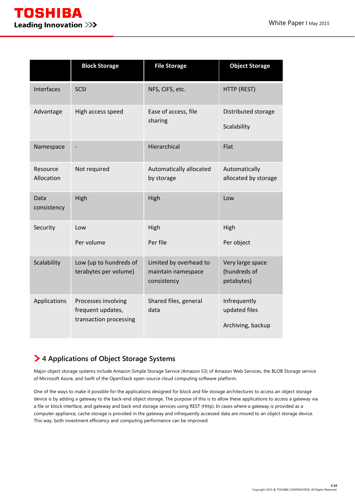

|                        | <b>Block Storage</b>                                               | <b>File Storage</b>                                         | <b>Object Storage</b>                              |
|------------------------|--------------------------------------------------------------------|-------------------------------------------------------------|----------------------------------------------------|
| Interfaces             | <b>SCSI</b>                                                        | NFS, CIFS, etc.                                             | HTTP (REST)                                        |
| Advantage              | High access speed                                                  | Ease of access, file<br>sharing                             | Distributed storage<br>Scalability                 |
| Namespace              |                                                                    | Hierarchical                                                | Flat                                               |
| Resource<br>Allocation | Not required                                                       | Automatically allocated<br>by storage                       | Automatically<br>allocated by storage              |
| Data<br>consistency    | High                                                               | High                                                        | Low                                                |
| Security               | Low                                                                | High                                                        | High                                               |
|                        | Per volume                                                         | Per file                                                    | Per object                                         |
| Scalability            | Low (up to hundreds of<br>terabytes per volume)                    | Limited by overhead to<br>maintain namespace<br>consistency | Very large space<br>(hundreds of<br>petabytes)     |
| Applications           | Processes involving<br>frequent updates,<br>transaction processing | Shared files, general<br>data                               | Infrequently<br>updated files<br>Archiving, backup |

# **4 Applications of Object Storage Systems**

Major object storage systems include Amazon Simple Storage Service (Amazon S3) of Amazon Web Services, the BLOB Storage service of Microsoft Azure, and Swift of the OpenStack open-source cloud computing software platform.

One of the ways to make it possible for the applications designed for block and file storage architectures to access an object storage device is by adding a gateway to the back-end object storage. The purpose of this is to allow these applications to access a gateway via a file or block interface, and gateway and back-end storage services using REST (Http). In cases where a gateway is provided as a computer appliance, cache storage is provided in the gateway and infrequently accessed data are moved to an object storage device. This way, both investment efficiency and computing performance can be improved.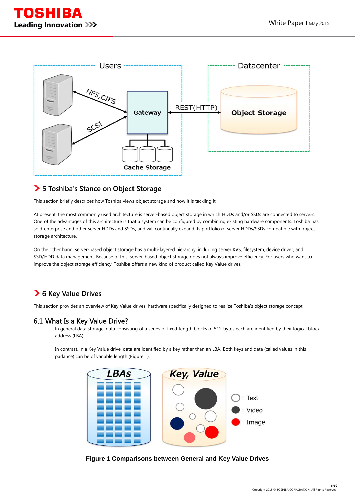



### **5 Toshiba's Stance on Object Storage**

This section briefly describes how Toshiba views object storage and how it is tackling it.

At present, the most commonly used architecture is server-based object storage in which HDDs and/or SSDs are connected to servers. One of the advantages of this architecture is that a system can be configured by combining existing hardware components. Toshiba has sold enterprise and other server HDDs and SSDs, and will continually expand its portfolio of server HDDs/SSDs compatible with object storage architecture.

On the other hand, server-based object storage has a multi-layered hierarchy, including server KVS, filesystem, device driver, and SSD/HDD data management. Because of this, server-based object storage does not always improve efficiency. For users who want to improve the object storage efficiency, Toshiba offers a new kind of product called Key Value drives.

## **6 Key Value Drives**

This section provides an overview of Key Value drives, hardware specifically designed to realize Toshiba's object storage concept.

### 6.1 What Is a Key Value Drive?

In general data storage, data consisting of a series of fixed-length blocks of 512 bytes each are identified by their logical block address (LBA).

In contrast, in a Key Value drive, data are identified by a key rather than an LBA. Both keys and data (called values in this parlance) can be of variable length (Figure 1).



**Figure 1 Comparisons between General and Key Value Drives**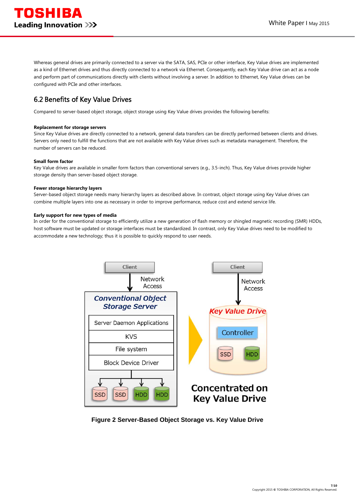Whereas general drives are primarily connected to a server via the SATA, SAS, PCIe or other interface, Key Value drives are implemented as a kind of Ethernet drives and thus directly connected to a network via Ethernet. Consequently, each Key Value drive can act as a node and perform part of communications directly with clients without involving a server. In addition to Ethernet, Key Value drives can be configured with PCIe and other interfaces.

## 6.2 Benefits of Key Value Drives

Compared to server-based object storage, object storage using Key Value drives provides the following benefits:

#### **Replacement for storage servers**

Since Key Value drives are directly connected to a network, general data transfers can be directly performed between clients and drives. Servers only need to fulfill the functions that are not available with Key Value drives such as metadata management. Therefore, the number of servers can be reduced.

#### **Small form factor**

Key Value drives are available in smaller form factors than conventional servers (e.g., 3.5-inch). Thus, Key Value drives provide higher storage density than server-based object storage.

#### **Fewer storage hierarchy layers**

Server-based object storage needs many hierarchy layers as described above. In contrast, object storage using Key Value drives can combine multiple layers into one as necessary in order to improve performance, reduce cost and extend service life.

#### **Early support for new types of media**

In order for the conventional storage to efficiently utilize a new generation of flash memory or shingled magnetic recording (SMR) HDDs, host software must be updated or storage interfaces must be standardized. In contrast, only Key Value drives need to be modified to accommodate a new technology; thus it is possible to quickly respond to user needs.



**Figure 2 Server-Based Object Storage vs. Key Value Drive**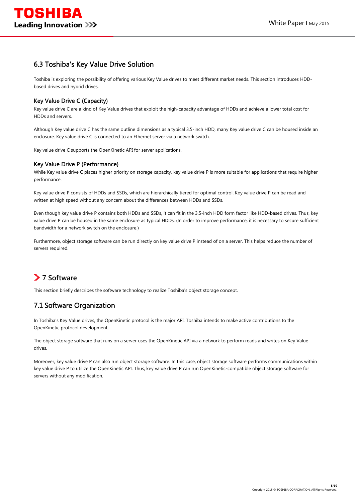### 6.3 Toshiba's Key Value Drive Solution

Toshiba is exploring the possibility of offering various Key Value drives to meet different market needs. This section introduces HDDbased drives and hybrid drives.

### Key Value Drive C (Capacity)

Key value drive C are a kind of Key Value drives that exploit the high-capacity advantage of HDDs and achieve a lower total cost for HDDs and servers.

Although Key value drive C has the same outline dimensions as a typical 3.5-inch HDD, many Key value drive C can be housed inside an enclosure. Key value drive C is connected to an Ethernet server via a network switch.

Key value drive C supports the OpenKinetic API for server applications.

#### Key Value Drive P (Performance)

While Key value drive C places higher priority on storage capacity, key value drive P is more suitable for applications that require higher performance.

Key value drive P consists of HDDs and SSDs, which are hierarchically tiered for optimal control. Key value drive P can be read and written at high speed without any concern about the differences between HDDs and SSDs.

Even though key value drive P contains both HDDs and SSDs, it can fit in the 3.5-inch HDD form factor like HDD-based drives. Thus, key value drive P can be housed in the same enclosure as typical HDDs. (In order to improve performance, it is necessary to secure sufficient bandwidth for a network switch on the enclosure.)

Furthermore, object storage software can be run directly on key value drive P instead of on a server. This helps reduce the number of servers required.

## **7 Software**

This section briefly describes the software technology to realize Toshiba's object storage concept.

### 7.1 Software Organization

In Toshiba's Key Value drives, the OpenKinetic protocol is the major API. Toshiba intends to make active contributions to the OpenKinetic protocol development.

The object storage software that runs on a server uses the OpenKinetic API via a network to perform reads and writes on Key Value drives.

Moreover, key value drive P can also run object storage software. In this case, object storage software performs communications within key value drive P to utilize the OpenKinetic API. Thus, key value drive P can run OpenKinetic-compatible object storage software for servers without any modification.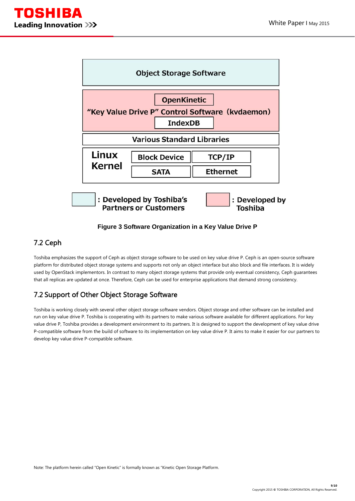



**Figure 3 Software Organization in a Key Value Drive P** 

### 7.2 Ceph

Toshiba emphasizes the support of Ceph as object storage software to be used on key value drive P. Ceph is an open-source software platform for distributed object storage systems and supports not only an object interface but also block and file interfaces. It is widely used by OpenStack implementors. In contrast to many object storage systems that provide only eventual consistency, Ceph guarantees that all replicas are updated at once. Therefore, Ceph can be used for enterprise applications that demand strong consistency.

## 7.2 Support of Other Object Storage Software

Toshiba is working closely with several other object storage software vendors. Object storage and other software can be installed and run on key value drive P. Toshiba is cooperating with its partners to make various software available for different applications. For key value drive P, Toshiba provides a development environment to its partners. It is designed to support the development of key value drive P-compatible software from the build of software to its implementation on key value drive P. It aims to make it easier for our partners to develop key value drive P-compatible software.